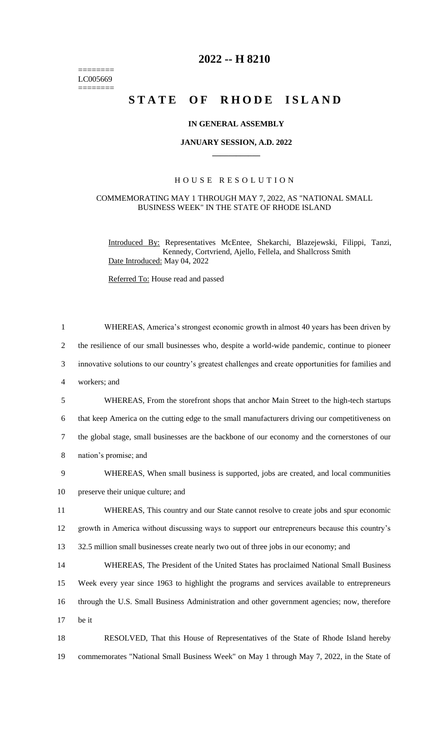======== LC005669  $=$ 

# **2022 -- H 8210**

# **STATE OF RHODE ISLAND**

# **IN GENERAL ASSEMBLY**

### **JANUARY SESSION, A.D. 2022 \_\_\_\_\_\_\_\_\_\_\_\_**

# H O U S E R E S O L U T I O N

#### COMMEMORATING MAY 1 THROUGH MAY 7, 2022, AS "NATIONAL SMALL BUSINESS WEEK" IN THE STATE OF RHODE ISLAND

Introduced By: Representatives McEntee, Shekarchi, Blazejewski, Filippi, Tanzi, Kennedy, Cortvriend, Ajello, Fellela, and Shallcross Smith Date Introduced: May 04, 2022

Referred To: House read and passed

| $\mathbf{1}$   | WHEREAS, America's strongest economic growth in almost 40 years has been driven by                  |
|----------------|-----------------------------------------------------------------------------------------------------|
| $\overline{2}$ | the resilience of our small businesses who, despite a world-wide pandemic, continue to pioneer      |
| 3              | innovative solutions to our country's greatest challenges and create opportunities for families and |
| $\overline{4}$ | workers; and                                                                                        |
| 5              | WHEREAS, From the storefront shops that anchor Main Street to the high-tech startups                |
| 6              | that keep America on the cutting edge to the small manufacturers driving our competitiveness on     |
| $\tau$         | the global stage, small businesses are the backbone of our economy and the cornerstones of our      |
| $8\,$          | nation's promise; and                                                                               |
| 9              | WHEREAS, When small business is supported, jobs are created, and local communities                  |
| 10             | preserve their unique culture; and                                                                  |
| 11             | WHEREAS, This country and our State cannot resolve to create jobs and spur economic                 |
| 12             | growth in America without discussing ways to support our entrepreneurs because this country's       |
| 13             | 32.5 million small businesses create nearly two out of three jobs in our economy; and               |
| 14             | WHEREAS, The President of the United States has proclaimed National Small Business                  |
| 15             | Week every year since 1963 to highlight the programs and services available to entrepreneurs        |
| 16             | through the U.S. Small Business Administration and other government agencies; now, therefore        |
| 17             | be it                                                                                               |
| 18             | RESOLVED, That this House of Representatives of the State of Rhode Island hereby                    |
| 19             | commemorates "National Small Business Week" on May 1 through May 7, 2022, in the State of           |